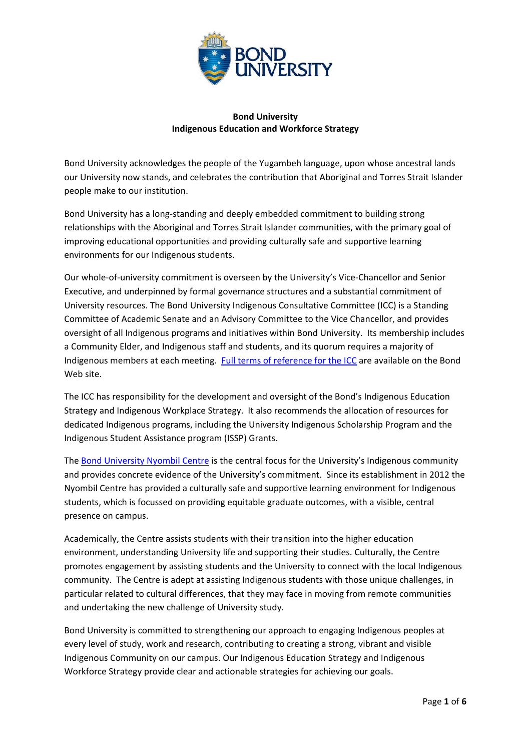

## **Bond University Indigenous Education and Workforce Strategy**

Bond University acknowledges the people of the Yugambeh language, upon whose ancestral lands our University now stands, and celebrates the contribution that Aboriginal and Torres Strait Islander people make to our institution.

Bond University has a long-standing and deeply embedded commitment to building strong relationships with the Aboriginal and Torres Strait Islander communities, with the primary goal of improving educational opportunities and providing culturally safe and supportive learning environments for our Indigenous students.

Our whole-of-university commitment is overseen by the University's Vice-Chancellor and Senior Executive, and underpinned by formal governance structures and a substantial commitment of University resources. The Bond University Indigenous Consultative Committee (ICC) is a Standing Committee of Academic Senate and an Advisory Committee to the Vice Chancellor, and provides oversight of all Indigenous programs and initiatives within Bond University. Its membership includes a Community Elder, and Indigenous staff and students, and its quorum requires a majority of Indigenous members at each meeting. [Full terms of reference for the ICC](https://bond.edu.au/files/2985) are available on the Bond Web site.

The ICC has responsibility for the development and oversight of the Bond's Indigenous Education Strategy and Indigenous Workplace Strategy. It also recommends the allocation of resources for dedicated Indigenous programs, including the University Indigenous Scholarship Program and the Indigenous Student Assistance program (ISSP) Grants.

The **Bond University Nyombil Centre** is the central focus for the University's Indigenous community and provides concrete evidence of the University's commitment. Since its establishment in 2012 the Nyombil Centre has provided a culturally safe and supportive learning environment for Indigenous students, which is focussed on providing equitable graduate outcomes, with a visible, central presence on campus.

Academically, the Centre assists students with their transition into the higher education environment, understanding University life and supporting their studies. Culturally, the Centre promotes engagement by assisting students and the University to connect with the local Indigenous community. The Centre is adept at assisting Indigenous students with those unique challenges, in particular related to cultural differences, that they may face in moving from remote communities and undertaking the new challenge of University study.

Bond University is committed to strengthening our approach to engaging Indigenous peoples at every level of study, work and research, contributing to creating a strong, vibrant and visible Indigenous Community on our campus. Our Indigenous Education Strategy and Indigenous Workforce Strategy provide clear and actionable strategies for achieving our goals.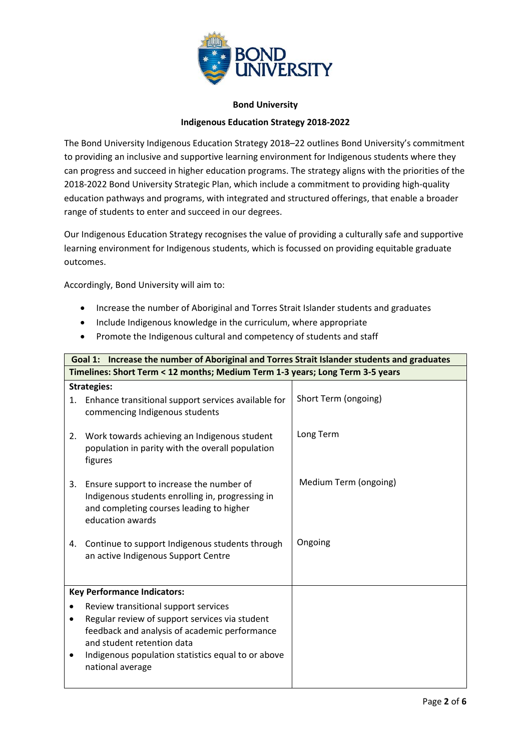

## **Bond University Indigenous Education Strategy 2018-2022**

The Bond University Indigenous Education Strategy 2018–22 outlines Bond University's commitment to providing an inclusive and supportive learning environment for Indigenous students where they can progress and succeed in higher education programs. The strategy aligns with the priorities of the 2018-2022 Bond University Strategic Plan, which include a commitment to providing high-quality education pathways and programs, with integrated and structured offerings, that enable a broader range of students to enter and succeed in our degrees.

Our Indigenous Education Strategy recognises the value of providing a culturally safe and supportive learning environment for Indigenous students, which is focussed on providing equitable graduate outcomes.

Accordingly, Bond University will aim to:

- Increase the number of Aboriginal and Torres Strait Islander students and graduates
- Include Indigenous knowledge in the curriculum, where appropriate
- Promote the Indigenous cultural and competency of students and staff

| Goal 1: Increase the number of Aboriginal and Torres Strait Islander students and graduates |                                                                                                                                                                                                                                                 |                       |  |
|---------------------------------------------------------------------------------------------|-------------------------------------------------------------------------------------------------------------------------------------------------------------------------------------------------------------------------------------------------|-----------------------|--|
|                                                                                             | Timelines: Short Term < 12 months; Medium Term 1-3 years; Long Term 3-5 years                                                                                                                                                                   |                       |  |
| 1.                                                                                          | <b>Strategies:</b><br>Enhance transitional support services available for<br>commencing Indigenous students                                                                                                                                     | Short Term (ongoing)  |  |
| 2.                                                                                          | Work towards achieving an Indigenous student<br>population in parity with the overall population<br>figures                                                                                                                                     | Long Term             |  |
| 3.                                                                                          | Ensure support to increase the number of<br>Indigenous students enrolling in, progressing in<br>and completing courses leading to higher<br>education awards                                                                                    | Medium Term (ongoing) |  |
| 4.                                                                                          | Continue to support Indigenous students through<br>an active Indigenous Support Centre                                                                                                                                                          | Ongoing               |  |
| <b>Key Performance Indicators:</b>                                                          |                                                                                                                                                                                                                                                 |                       |  |
| $\bullet$<br>$\bullet$                                                                      | Review transitional support services<br>Regular review of support services via student<br>feedback and analysis of academic performance<br>and student retention data<br>Indigenous population statistics equal to or above<br>national average |                       |  |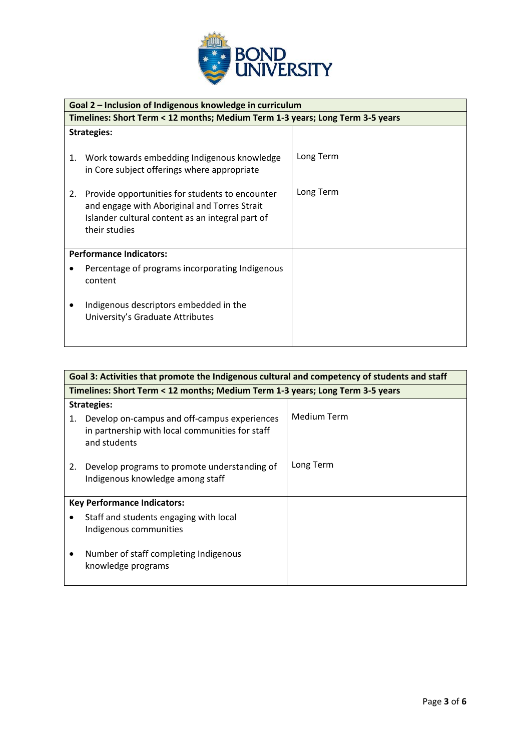

|                                | Goal 2 – Inclusion of Indigenous knowledge in curriculum                                                                                                             |           |  |
|--------------------------------|----------------------------------------------------------------------------------------------------------------------------------------------------------------------|-----------|--|
|                                | Timelines: Short Term < 12 months; Medium Term 1-3 years; Long Term 3-5 years                                                                                        |           |  |
| <b>Strategies:</b>             |                                                                                                                                                                      |           |  |
| 1.                             | Work towards embedding Indigenous knowledge<br>in Core subject offerings where appropriate                                                                           | Long Term |  |
| 2.                             | Provide opportunities for students to encounter<br>and engage with Aboriginal and Torres Strait<br>Islander cultural content as an integral part of<br>their studies | Long Term |  |
| <b>Performance Indicators:</b> |                                                                                                                                                                      |           |  |
|                                | Percentage of programs incorporating Indigenous<br>content                                                                                                           |           |  |
|                                | Indigenous descriptors embedded in the<br>University's Graduate Attributes                                                                                           |           |  |

| Goal 3: Activities that promote the Indigenous cultural and competency of students and staff |                                                                                                                 |             |  |
|----------------------------------------------------------------------------------------------|-----------------------------------------------------------------------------------------------------------------|-------------|--|
| Timelines: Short Term < 12 months; Medium Term 1-3 years; Long Term 3-5 years                |                                                                                                                 |             |  |
| <b>Strategies:</b>                                                                           |                                                                                                                 |             |  |
| 1.                                                                                           | Develop on-campus and off-campus experiences<br>in partnership with local communities for staff<br>and students | Medium Term |  |
| 2.                                                                                           | Develop programs to promote understanding of<br>Indigenous knowledge among staff                                | Long Term   |  |
| <b>Key Performance Indicators:</b>                                                           |                                                                                                                 |             |  |
|                                                                                              | Staff and students engaging with local<br>Indigenous communities                                                |             |  |
|                                                                                              | Number of staff completing Indigenous<br>knowledge programs                                                     |             |  |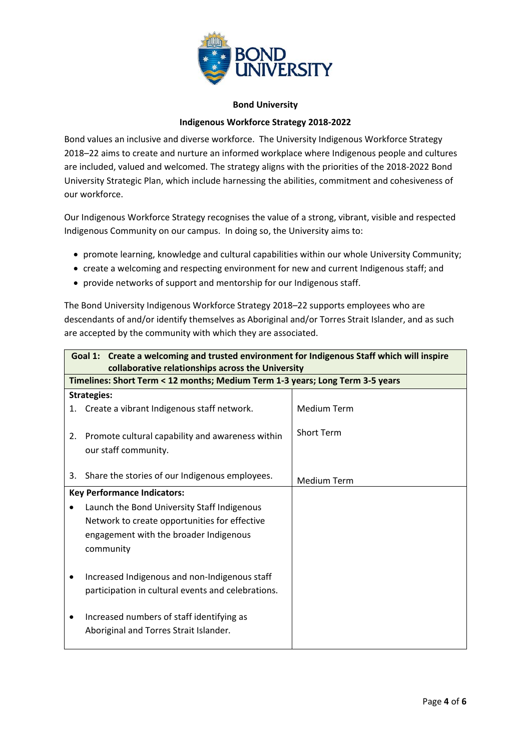

## **Bond University**

## **Indigenous Workforce Strategy 2018-2022**

Bond values an inclusive and diverse workforce. The University Indigenous Workforce Strategy 2018–22 aims to create and nurture an informed workplace where Indigenous people and cultures are included, valued and welcomed. The strategy aligns with the priorities of the 2018-2022 Bond University Strategic Plan, which include harnessing the abilities, commitment and cohesiveness of our workforce.

Our Indigenous Workforce Strategy recognises the value of a strong, vibrant, visible and respected Indigenous Community on our campus. In doing so, the University aims to:

- promote learning, knowledge and cultural capabilities within our whole University Community;
- create a welcoming and respecting environment for new and current Indigenous staff; and
- provide networks of support and mentorship for our Indigenous staff.

The Bond University Indigenous Workforce Strategy 2018–22 supports employees who are descendants of and/or identify themselves as Aboriginal and/or Torres Strait Islander, and as such are accepted by the community with which they are associated.

| Goal 1: Create a welcoming and trusted environment for Indigenous Staff which will inspire<br>collaborative relationships across the University |                                                                                     |                    |  |  |
|-------------------------------------------------------------------------------------------------------------------------------------------------|-------------------------------------------------------------------------------------|--------------------|--|--|
|                                                                                                                                                 | Timelines: Short Term < 12 months; Medium Term 1-3 years; Long Term 3-5 years       |                    |  |  |
|                                                                                                                                                 | <b>Strategies:</b>                                                                  |                    |  |  |
| 1.                                                                                                                                              | Create a vibrant Indigenous staff network.                                          | <b>Medium Term</b> |  |  |
| 2.                                                                                                                                              | Promote cultural capability and awareness within<br>our staff community.            | <b>Short Term</b>  |  |  |
| 3.                                                                                                                                              | Share the stories of our Indigenous employees.                                      | <b>Medium Term</b> |  |  |
| <b>Key Performance Indicators:</b>                                                                                                              |                                                                                     |                    |  |  |
|                                                                                                                                                 | Launch the Bond University Staff Indigenous                                         |                    |  |  |
|                                                                                                                                                 | Network to create opportunities for effective                                       |                    |  |  |
|                                                                                                                                                 | engagement with the broader Indigenous                                              |                    |  |  |
|                                                                                                                                                 | community                                                                           |                    |  |  |
|                                                                                                                                                 |                                                                                     |                    |  |  |
|                                                                                                                                                 | Increased Indigenous and non-Indigenous staff                                       |                    |  |  |
|                                                                                                                                                 | participation in cultural events and celebrations.                                  |                    |  |  |
|                                                                                                                                                 | Increased numbers of staff identifying as<br>Aboriginal and Torres Strait Islander. |                    |  |  |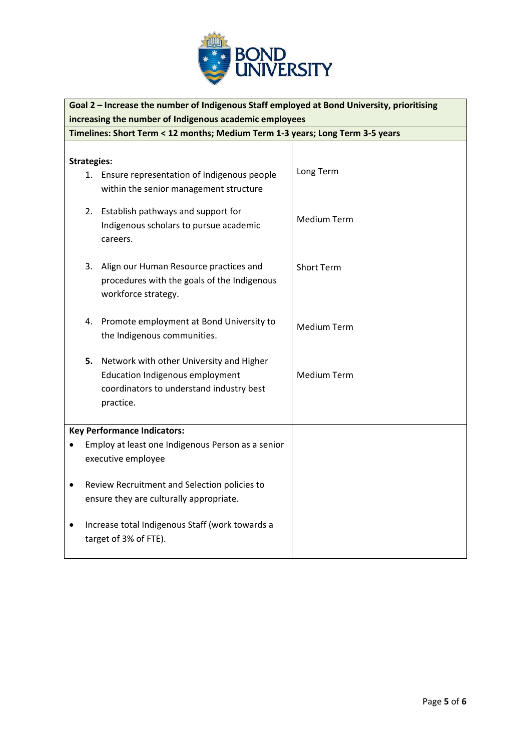

| Goal 2 - Increase the number of Indigenous Staff employed at Bond University, prioritising           |                                                                                                                                                |                    |  |
|------------------------------------------------------------------------------------------------------|------------------------------------------------------------------------------------------------------------------------------------------------|--------------------|--|
| increasing the number of Indigenous academic employees                                               |                                                                                                                                                |                    |  |
|                                                                                                      | Timelines: Short Term < 12 months; Medium Term 1-3 years; Long Term 3-5 years                                                                  |                    |  |
|                                                                                                      |                                                                                                                                                |                    |  |
| <b>Strategies:</b>                                                                                   |                                                                                                                                                |                    |  |
|                                                                                                      | 1. Ensure representation of Indigenous people<br>within the senior management structure                                                        | Long Term          |  |
|                                                                                                      | 2. Establish pathways and support for<br>Indigenous scholars to pursue academic<br>careers.                                                    | <b>Medium Term</b> |  |
| 3.                                                                                                   | Align our Human Resource practices and<br>procedures with the goals of the Indigenous<br>workforce strategy.                                   | <b>Short Term</b>  |  |
|                                                                                                      | 4. Promote employment at Bond University to<br>the Indigenous communities.                                                                     | <b>Medium Term</b> |  |
|                                                                                                      | 5. Network with other University and Higher<br><b>Education Indigenous employment</b><br>coordinators to understand industry best<br>practice. | <b>Medium Term</b> |  |
|                                                                                                      | <b>Key Performance Indicators:</b>                                                                                                             |                    |  |
|                                                                                                      | Employ at least one Indigenous Person as a senior<br>executive employee                                                                        |                    |  |
| Review Recruitment and Selection policies to<br>$\bullet$<br>ensure they are culturally appropriate. |                                                                                                                                                |                    |  |
|                                                                                                      | Increase total Indigenous Staff (work towards a<br>target of 3% of FTE).                                                                       |                    |  |